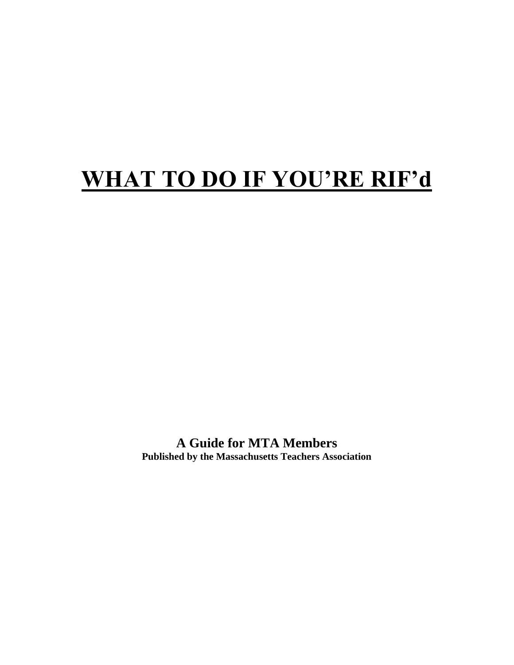# **WHAT TO DO IF YOU'RE RIF'd**

**A Guide for MTA Members Published by the Massachusetts Teachers Association**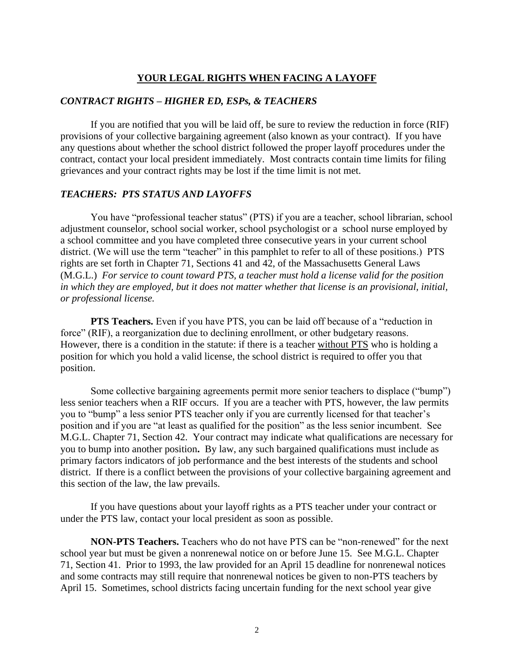## **YOUR LEGAL RIGHTS WHEN FACING A LAYOFF**

## *CONTRACT RIGHTS – HIGHER ED, ESPs, & TEACHERS*

If you are notified that you will be laid off, be sure to review the reduction in force (RIF) provisions of your collective bargaining agreement (also known as your contract). If you have any questions about whether the school district followed the proper layoff procedures under the contract, contact your local president immediately. Most contracts contain time limits for filing grievances and your contract rights may be lost if the time limit is not met.

## *TEACHERS: PTS STATUS AND LAYOFFS*

You have "professional teacher status" (PTS) if you are a teacher, school librarian, school adjustment counselor, school social worker, school psychologist or a school nurse employed by a school committee and you have completed three consecutive years in your current school district. (We will use the term "teacher" in this pamphlet to refer to all of these positions.) PTS rights are set forth in Chapter 71, Sections 41 and 42, of the Massachusetts General Laws (M.G.L.) *For service to count toward PTS, a teacher must hold a license valid for the position in which they are employed, but it does not matter whether that license is an provisional, initial, or professional license.* 

**PTS Teachers.** Even if you have PTS, you can be laid off because of a "reduction in force" (RIF), a reorganization due to declining enrollment, or other budgetary reasons. However, there is a condition in the statute: if there is a teacher without PTS who is holding a position for which you hold a valid license, the school district is required to offer you that position.

Some collective bargaining agreements permit more senior teachers to displace ("bump") less senior teachers when a RIF occurs. If you are a teacher with PTS, however, the law permits you to "bump" a less senior PTS teacher only if you are currently licensed for that teacher's position and if you are "at least as qualified for the position" as the less senior incumbent. See M.G.L. Chapter 71, Section 42. Your contract may indicate what qualifications are necessary for you to bump into another position**.** By law, any such bargained qualifications must include as primary factors indicators of job performance and the best interests of the students and school district. If there is a conflict between the provisions of your collective bargaining agreement and this section of the law, the law prevails.

If you have questions about your layoff rights as a PTS teacher under your contract or under the PTS law, contact your local president as soon as possible.

**NON-PTS Teachers.** Teachers who do not have PTS can be "non-renewed" for the next school year but must be given a nonrenewal notice on or before June 15. See M.G.L. Chapter 71, Section 41. Prior to 1993, the law provided for an April 15 deadline for nonrenewal notices and some contracts may still require that nonrenewal notices be given to non-PTS teachers by April 15. Sometimes, school districts facing uncertain funding for the next school year give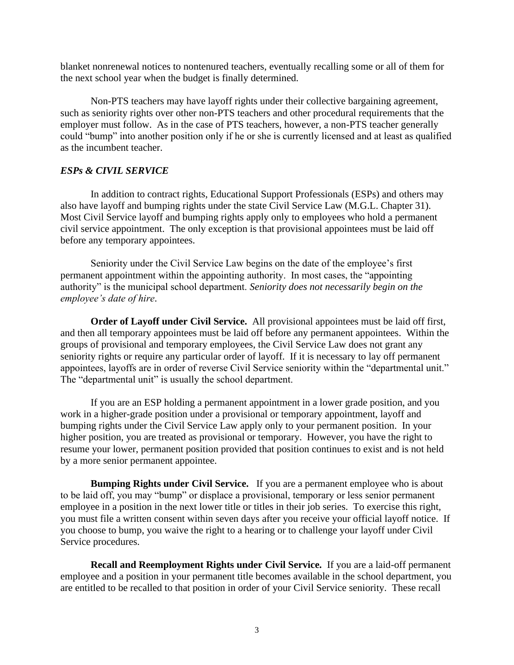blanket nonrenewal notices to nontenured teachers, eventually recalling some or all of them for the next school year when the budget is finally determined.

Non-PTS teachers may have layoff rights under their collective bargaining agreement, such as seniority rights over other non-PTS teachers and other procedural requirements that the employer must follow. As in the case of PTS teachers, however, a non-PTS teacher generally could "bump" into another position only if he or she is currently licensed and at least as qualified as the incumbent teacher.

## *ESPs & CIVIL SERVICE*

In addition to contract rights, Educational Support Professionals (ESPs) and others may also have layoff and bumping rights under the state Civil Service Law (M.G.L. Chapter 31). Most Civil Service layoff and bumping rights apply only to employees who hold a permanent civil service appointment. The only exception is that provisional appointees must be laid off before any temporary appointees.

Seniority under the Civil Service Law begins on the date of the employee's first permanent appointment within the appointing authority. In most cases, the "appointing authority" is the municipal school department. *Seniority does not necessarily begin on the employee's date of hire*.

**Order of Layoff under Civil Service.** All provisional appointees must be laid off first, and then all temporary appointees must be laid off before any permanent appointees. Within the groups of provisional and temporary employees, the Civil Service Law does not grant any seniority rights or require any particular order of layoff. If it is necessary to lay off permanent appointees, layoffs are in order of reverse Civil Service seniority within the "departmental unit." The "departmental unit" is usually the school department.

If you are an ESP holding a permanent appointment in a lower grade position, and you work in a higher-grade position under a provisional or temporary appointment, layoff and bumping rights under the Civil Service Law apply only to your permanent position. In your higher position, you are treated as provisional or temporary. However, you have the right to resume your lower, permanent position provided that position continues to exist and is not held by a more senior permanent appointee.

**Bumping Rights under Civil Service.** If you are a permanent employee who is about to be laid off, you may "bump" or displace a provisional, temporary or less senior permanent employee in a position in the next lower title or titles in their job series. To exercise this right, you must file a written consent within seven days after you receive your official layoff notice. If you choose to bump, you waive the right to a hearing or to challenge your layoff under Civil Service procedures.

**Recall and Reemployment Rights under Civil Service.** If you are a laid-off permanent employee and a position in your permanent title becomes available in the school department, you are entitled to be recalled to that position in order of your Civil Service seniority. These recall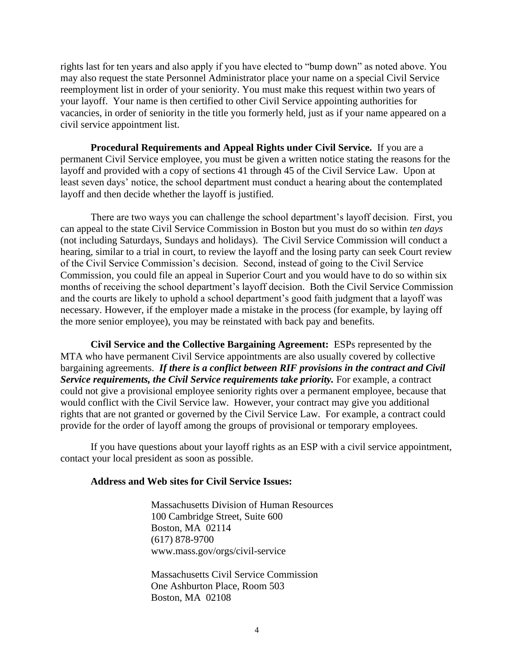rights last for ten years and also apply if you have elected to "bump down" as noted above. You may also request the state Personnel Administrator place your name on a special Civil Service reemployment list in order of your seniority. You must make this request within two years of your layoff. Your name is then certified to other Civil Service appointing authorities for vacancies, in order of seniority in the title you formerly held, just as if your name appeared on a civil service appointment list.

**Procedural Requirements and Appeal Rights under Civil Service.** If you are a permanent Civil Service employee, you must be given a written notice stating the reasons for the layoff and provided with a copy of sections 41 through 45 of the Civil Service Law. Upon at least seven days' notice, the school department must conduct a hearing about the contemplated layoff and then decide whether the layoff is justified.

There are two ways you can challenge the school department's layoff decision. First, you can appeal to the state Civil Service Commission in Boston but you must do so within *ten days* (not including Saturdays, Sundays and holidays). The Civil Service Commission will conduct a hearing, similar to a trial in court, to review the layoff and the losing party can seek Court review of the Civil Service Commission's decision. Second, instead of going to the Civil Service Commission, you could file an appeal in Superior Court and you would have to do so within six months of receiving the school department's layoff decision. Both the Civil Service Commission and the courts are likely to uphold a school department's good faith judgment that a layoff was necessary. However, if the employer made a mistake in the process (for example, by laying off the more senior employee), you may be reinstated with back pay and benefits.

**Civil Service and the Collective Bargaining Agreement:** ESPs represented by the MTA who have permanent Civil Service appointments are also usually covered by collective bargaining agreements. *If there is a conflict between RIF provisions in the contract and Civil Service requirements, the Civil Service requirements take priority.* For example, a contract could not give a provisional employee seniority rights over a permanent employee, because that would conflict with the Civil Service law. However, your contract may give you additional rights that are not granted or governed by the Civil Service Law. For example, a contract could provide for the order of layoff among the groups of provisional or temporary employees.

If you have questions about your layoff rights as an ESP with a civil service appointment, contact your local president as soon as possible.

#### **Address and Web sites for Civil Service Issues:**

Massachusetts Division of Human Resources 100 Cambridge Street, Suite 600 Boston, MA 02114 (617) 878-9700 www.mass.gov/orgs/civil-service

Massachusetts Civil Service Commission One Ashburton Place, Room 503 Boston, MA 02108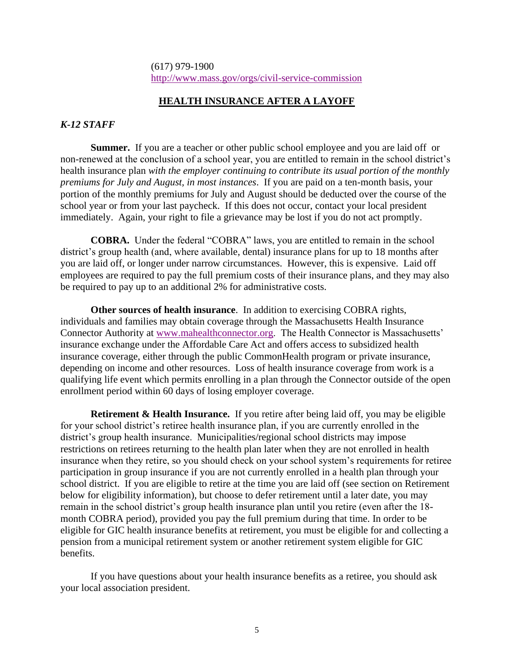## (617) 979-1900 <http://www.mass.gov/orgs/civil-service-commission>

## **HEALTH INSURANCE AFTER A LAYOFF**

## *K-12 STAFF*

**Summer.** If you are a teacher or other public school employee and you are laid off or non-renewed at the conclusion of a school year, you are entitled to remain in the school district's health insurance plan *with the employer continuing to contribute its usual portion of the monthly premiums for July and August, in most instances*. If you are paid on a ten-month basis, your portion of the monthly premiums for July and August should be deducted over the course of the school year or from your last paycheck. If this does not occur, contact your local president immediately. Again, your right to file a grievance may be lost if you do not act promptly.

**COBRA.** Under the federal "COBRA" laws, you are entitled to remain in the school district's group health (and, where available, dental) insurance plans for up to 18 months after you are laid off, or longer under narrow circumstances. However, this is expensive. Laid off employees are required to pay the full premium costs of their insurance plans, and they may also be required to pay up to an additional 2% for administrative costs.

**Other sources of health insurance**. In addition to exercising COBRA rights, individuals and families may obtain coverage through the Massachusetts Health Insurance Connector Authority at [www.mahealthconnector.org.](http://www.mahealthconnector.org/) The Health Connector is Massachusetts' insurance exchange under the Affordable Care Act and offers access to subsidized health insurance coverage, either through the public CommonHealth program or private insurance, depending on income and other resources. Loss of health insurance coverage from work is a qualifying life event which permits enrolling in a plan through the Connector outside of the open enrollment period within 60 days of losing employer coverage.

**Retirement & Health Insurance.** If you retire after being laid off, you may be eligible for your school district's retiree health insurance plan, if you are currently enrolled in the district's group health insurance. Municipalities/regional school districts may impose restrictions on retirees returning to the health plan later when they are not enrolled in health insurance when they retire, so you should check on your school system's requirements for retiree participation in group insurance if you are not currently enrolled in a health plan through your school district. If you are eligible to retire at the time you are laid off (see section on Retirement below for eligibility information), but choose to defer retirement until a later date, you may remain in the school district's group health insurance plan until you retire (even after the 18 month COBRA period), provided you pay the full premium during that time. In order to be eligible for GIC health insurance benefits at retirement, you must be eligible for and collecting a pension from a municipal retirement system or another retirement system eligible for GIC benefits.

If you have questions about your health insurance benefits as a retiree, you should ask your local association president.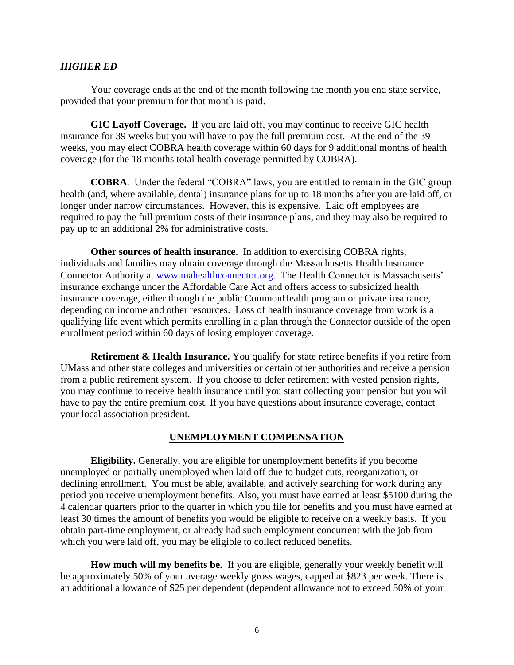## *HIGHER ED*

Your coverage ends at the end of the month following the month you end state service, provided that your premium for that month is paid.

**GIC Layoff Coverage.** If you are laid off, you may continue to receive GIC health insurance for 39 weeks but you will have to pay the full premium cost. At the end of the 39 weeks, you may elect COBRA health coverage within 60 days for 9 additional months of health coverage (for the 18 months total health coverage permitted by COBRA).

**COBRA**. Under the federal "COBRA" laws, you are entitled to remain in the GIC group health (and, where available, dental) insurance plans for up to 18 months after you are laid off, or longer under narrow circumstances. However, this is expensive. Laid off employees are required to pay the full premium costs of their insurance plans, and they may also be required to pay up to an additional 2% for administrative costs.

**Other sources of health insurance**. In addition to exercising COBRA rights, individuals and families may obtain coverage through the Massachusetts Health Insurance Connector Authority at [www.mahealthconnector.org.](http://www.mahealthconnector.org/) The Health Connector is Massachusetts' insurance exchange under the Affordable Care Act and offers access to subsidized health insurance coverage, either through the public CommonHealth program or private insurance, depending on income and other resources. Loss of health insurance coverage from work is a qualifying life event which permits enrolling in a plan through the Connector outside of the open enrollment period within 60 days of losing employer coverage.

**Retirement & Health Insurance.** You qualify for state retiree benefits if you retire from UMass and other state colleges and universities or certain other authorities and receive a pension from a public retirement system. If you choose to defer retirement with vested pension rights, you may continue to receive health insurance until you start collecting your pension but you will have to pay the entire premium cost. If you have questions about insurance coverage, contact your local association president.

#### **UNEMPLOYMENT COMPENSATION**

**Eligibility.** Generally, you are eligible for unemployment benefits if you become unemployed or partially unemployed when laid off due to budget cuts, reorganization, or declining enrollment. You must be able, available, and actively searching for work during any period you receive unemployment benefits. Also, you must have earned at least \$5100 during the 4 calendar quarters prior to the quarter in which you file for benefits and you must have earned at least 30 times the amount of benefits you would be eligible to receive on a weekly basis. If you obtain part-time employment, or already had such employment concurrent with the job from which you were laid off, you may be eligible to collect reduced benefits.

**How much will my benefits be.** If you are eligible, generally your weekly benefit will be approximately 50% of your average weekly gross wages, capped at \$823 per week. There is an additional allowance of \$25 per dependent (dependent allowance not to exceed 50% of your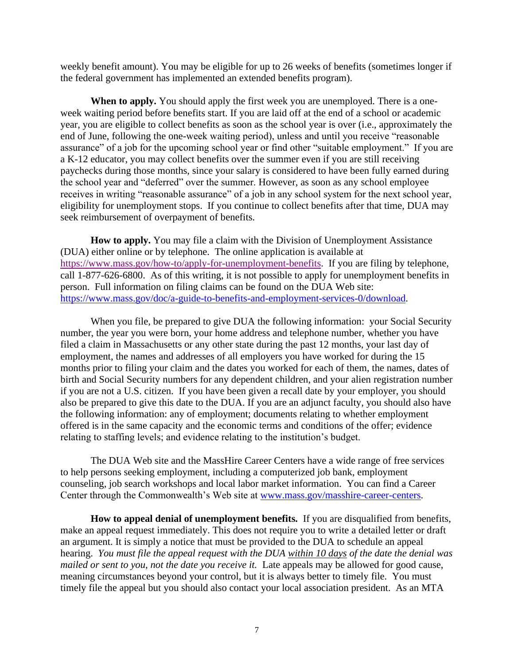weekly benefit amount). You may be eligible for up to 26 weeks of benefits (sometimes longer if the federal government has implemented an extended benefits program).

**When to apply.** You should apply the first week you are unemployed. There is a oneweek waiting period before benefits start. If you are laid off at the end of a school or academic year, you are eligible to collect benefits as soon as the school year is over (i.e., approximately the end of June, following the one-week waiting period), unless and until you receive "reasonable assurance" of a job for the upcoming school year or find other "suitable employment." If you are a K-12 educator, you may collect benefits over the summer even if you are still receiving paychecks during those months, since your salary is considered to have been fully earned during the school year and "deferred" over the summer. However, as soon as any school employee receives in writing "reasonable assurance" of a job in any school system for the next school year, eligibility for unemployment stops. If you continue to collect benefits after that time, DUA may seek reimbursement of overpayment of benefits.

**How to apply.** You may file a claim with the Division of Unemployment Assistance (DUA) either online or by telephone. The online application is available at [https://www.mass.gov/how-to/apply-for-unemployment-benefits.](https://www.mass.gov/how-to/apply-for-unemployment-benefits) If you are filing by telephone, call 1-877-626-6800. As of this writing, it is not possible to apply for unemployment benefits in person. Full information on filing claims can be found on the DUA Web site: [https://www.mass.gov/doc/a-guide-to-benefits-and-employment-services-0/download.](https://www.mass.gov/doc/a-guide-to-benefits-and-employment-services-0/download)

When you file, be prepared to give DUA the following information: your Social Security number, the year you were born, your home address and telephone number, whether you have filed a claim in Massachusetts or any other state during the past 12 months, your last day of employment, the names and addresses of all employers you have worked for during the 15 months prior to filing your claim and the dates you worked for each of them, the names, dates of birth and Social Security numbers for any dependent children, and your alien registration number if you are not a U.S. citizen. If you have been given a recall date by your employer, you should also be prepared to give this date to the DUA. If you are an adjunct faculty, you should also have the following information: any of employment; documents relating to whether employment offered is in the same capacity and the economic terms and conditions of the offer; evidence relating to staffing levels; and evidence relating to the institution's budget.

The DUA Web site and the MassHire Career Centers have a wide range of free services to help persons seeking employment, including a computerized job bank, employment counseling, job search workshops and local labor market information. You can find a Career Center through the Commonwealth's Web site at [www.mass.gov/masshire-career-centers.](http://www.mass.gov/masshire-career-centers)

**How to appeal denial of unemployment benefits.** If you are disqualified from benefits, make an appeal request immediately. This does not require you to write a detailed letter or draft an argument. It is simply a notice that must be provided to the DUA to schedule an appeal hearing. *You must file the appeal request with the DUA within 10 days of the date the denial was mailed or sent to you, not the date you receive it.* Late appeals may be allowed for good cause, meaning circumstances beyond your control, but it is always better to timely file. You must timely file the appeal but you should also contact your local association president. As an MTA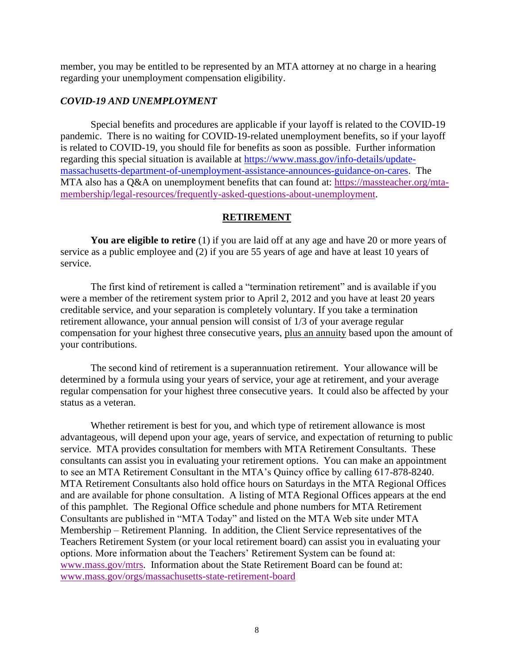member, you may be entitled to be represented by an MTA attorney at no charge in a hearing regarding your unemployment compensation eligibility.

#### *COVID-19 AND UNEMPLOYMENT*

Special benefits and procedures are applicable if your layoff is related to the COVID-19 pandemic. There is no waiting for COVID-19-related unemployment benefits, so if your layoff is related to COVID-19, you should file for benefits as soon as possible. Further information regarding this special situation is available at [https://www.mass.gov/info-details/update](https://www.mass.gov/info-details/update-massachusetts-department-of-unemployment-assistance-announces-guidance-on-cares)[massachusetts-department-of-unemployment-assistance-announces-guidance-on-cares.](https://www.mass.gov/info-details/update-massachusetts-department-of-unemployment-assistance-announces-guidance-on-cares) The MTA also has a Q&A on unemployment benefits that can found at: [https://massteacher.org/mta](https://massteacher.org/mta-membership/legal-resources/frequently-asked-questions-about-unemployment)[membership/legal-resources/frequently-asked-questions-about-unemployment.](https://massteacher.org/mta-membership/legal-resources/frequently-asked-questions-about-unemployment)

## **RETIREMENT**

You are eligible to retire (1) if you are laid off at any age and have 20 or more years of service as a public employee and (2) if you are 55 years of age and have at least 10 years of service.

The first kind of retirement is called a "termination retirement" and is available if you were a member of the retirement system prior to April 2, 2012 and you have at least 20 years creditable service, and your separation is completely voluntary. If you take a termination retirement allowance, your annual pension will consist of 1/3 of your average regular compensation for your highest three consecutive years, plus an annuity based upon the amount of your contributions.

The second kind of retirement is a superannuation retirement. Your allowance will be determined by a formula using your years of service, your age at retirement, and your average regular compensation for your highest three consecutive years. It could also be affected by your status as a veteran.

Whether retirement is best for you, and which type of retirement allowance is most advantageous, will depend upon your age, years of service, and expectation of returning to public service. MTA provides consultation for members with MTA Retirement Consultants. These consultants can assist you in evaluating your retirement options. You can make an appointment to see an MTA Retirement Consultant in the MTA's Quincy office by calling 617-878-8240. MTA Retirement Consultants also hold office hours on Saturdays in the MTA Regional Offices and are available for phone consultation. A listing of MTA Regional Offices appears at the end of this pamphlet. The Regional Office schedule and phone numbers for MTA Retirement Consultants are published in "MTA Today" and listed on the MTA Web site under MTA Membership – Retirement Planning. In addition, the Client Service representatives of the Teachers Retirement System (or your local retirement board) can assist you in evaluating your options. More information about the Teachers' Retirement System can be found at: [www.mass.gov/mtrs.](http://www.mass.gov/mtrs) Information about the State Retirement Board can be found at: [www.mass.gov/orgs/massachusetts-state-retirement-board](http://www.mass.gov/orgs/massachusetts-state-retirement-board)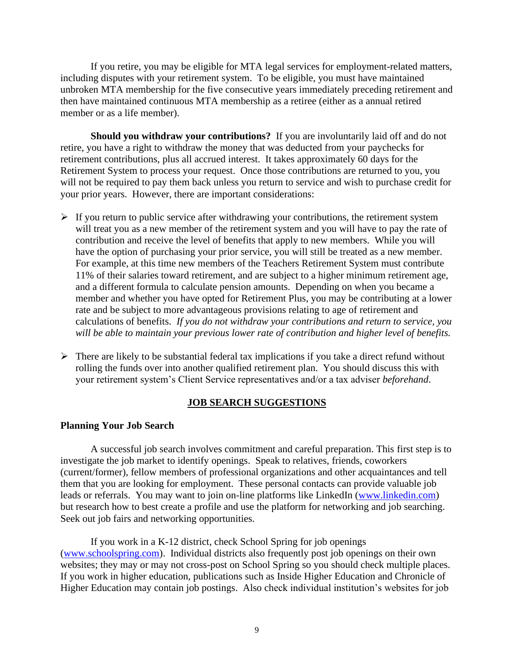If you retire, you may be eligible for MTA legal services for employment-related matters, including disputes with your retirement system. To be eligible, you must have maintained unbroken MTA membership for the five consecutive years immediately preceding retirement and then have maintained continuous MTA membership as a retiree (either as a annual retired member or as a life member).

**Should you withdraw your contributions?** If you are involuntarily laid off and do not retire, you have a right to withdraw the money that was deducted from your paychecks for retirement contributions, plus all accrued interest. It takes approximately 60 days for the Retirement System to process your request. Once those contributions are returned to you, you will not be required to pay them back unless you return to service and wish to purchase credit for your prior years. However, there are important considerations:

- $\triangleright$  If you return to public service after withdrawing your contributions, the retirement system will treat you as a new member of the retirement system and you will have to pay the rate of contribution and receive the level of benefits that apply to new members. While you will have the option of purchasing your prior service, you will still be treated as a new member. For example, at this time new members of the Teachers Retirement System must contribute 11% of their salaries toward retirement, and are subject to a higher minimum retirement age, and a different formula to calculate pension amounts. Depending on when you became a member and whether you have opted for Retirement Plus, you may be contributing at a lower rate and be subject to more advantageous provisions relating to age of retirement and calculations of benefits. *If you do not withdraw your contributions and return to service, you will be able to maintain your previous lower rate of contribution and higher level of benefits.*
- $\triangleright$  There are likely to be substantial federal tax implications if you take a direct refund without rolling the funds over into another qualified retirement plan. You should discuss this with your retirement system's Client Service representatives and/or a tax adviser *beforehand*.

#### **JOB SEARCH SUGGESTIONS**

#### **Planning Your Job Search**

A successful job search involves commitment and careful preparation. This first step is to investigate the job market to identify openings. Speak to relatives, friends, coworkers (current/former), fellow members of professional organizations and other acquaintances and tell them that you are looking for employment. These personal contacts can provide valuable job leads or referrals. You may want to join on-line platforms like LinkedIn [\(www.linkedin.com\)](http://www.linkedin.com/) but research how to best create a profile and use the platform for networking and job searching. Seek out job fairs and networking opportunities.

If you work in a K-12 district, check School Spring for job openings [\(www.schoolspring.com\)](http://www.schoolspring.com/). Individual districts also frequently post job openings on their own websites; they may or may not cross-post on School Spring so you should check multiple places. If you work in higher education, publications such as Inside Higher Education and Chronicle of Higher Education may contain job postings. Also check individual institution's websites for job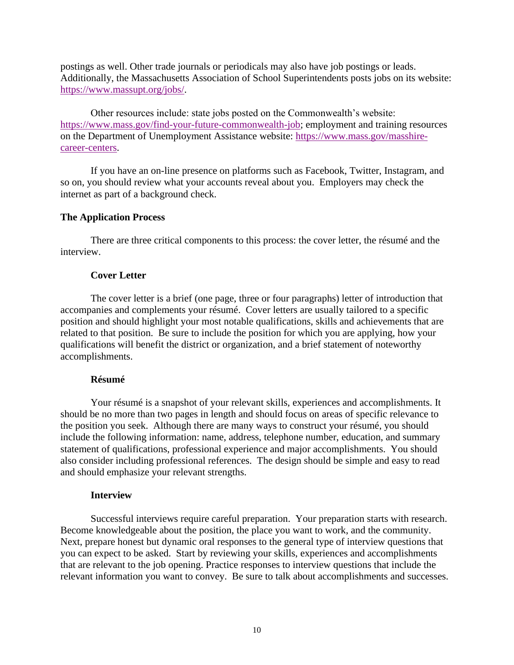postings as well. Other trade journals or periodicals may also have job postings or leads. Additionally, the Massachusetts Association of School Superintendents posts jobs on its website: [https://www.massupt.org/jobs/.](https://www.massupt.org/jobs/)

Other resources include: state jobs posted on the Commonwealth's website: [https://www.mass.gov/find-your-future-commonwealth-job;](https://www.mass.gov/find-your-future-commonwealth-job) employment and training resources on the Department of Unemployment Assistance website: [https://www.mass.gov/masshire](https://www.mass.gov/masshire-career-centers)[career-centers.](https://www.mass.gov/masshire-career-centers)

If you have an on-line presence on platforms such as Facebook, Twitter, Instagram, and so on, you should review what your accounts reveal about you. Employers may check the internet as part of a background check.

## **The Application Process**

There are three critical components to this process: the cover letter, the résumé and the interview.

## **Cover Letter**

The cover letter is a brief (one page, three or four paragraphs) letter of introduction that accompanies and complements your résumé. Cover letters are usually tailored to a specific position and should highlight your most notable qualifications, skills and achievements that are related to that position. Be sure to include the position for which you are applying, how your qualifications will benefit the district or organization, and a brief statement of noteworthy accomplishments.

## **Résumé**

Your résumé is a snapshot of your relevant skills, experiences and accomplishments. It should be no more than two pages in length and should focus on areas of specific relevance to the position you seek. Although there are many ways to construct your résumé, you should include the following information: name, address, telephone number, education, and summary statement of qualifications, professional experience and major accomplishments. You should also consider including professional references. The design should be simple and easy to read and should emphasize your relevant strengths.

## **Interview**

Successful interviews require careful preparation. Your preparation starts with research. Become knowledgeable about the position, the place you want to work, and the community. Next, prepare honest but dynamic oral responses to the general type of interview questions that you can expect to be asked. Start by reviewing your skills, experiences and accomplishments that are relevant to the job opening. Practice responses to interview questions that include the relevant information you want to convey. Be sure to talk about accomplishments and successes.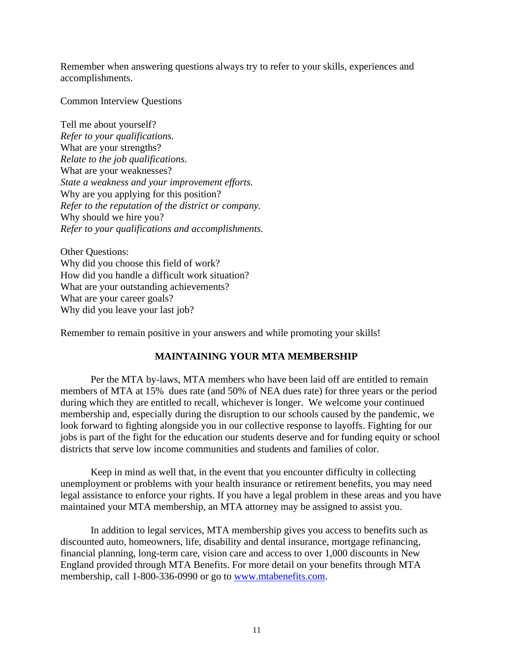Remember when answering questions always try to refer to your skills, experiences and accomplishments.

Common Interview Questions

Tell me about yourself? *Refer to your qualifications.*  What are your strengths? *Relate to the job qualifications.*  What are your weaknesses? *State a weakness and your improvement efforts.*  Why are you applying for this position? *Refer to the reputation of the district or company.*  Why should we hire you? *Refer to your qualifications and accomplishments.* 

Other Questions: Why did you choose this field of work? How did you handle a difficult work situation? What are your outstanding achievements? What are your career goals? Why did you leave your last job?

Remember to remain positive in your answers and while promoting your skills!

# **MAINTAINING YOUR MTA MEMBERSHIP**

Per the MTA by-laws, MTA members who have been laid off are entitled to remain members of MTA at 15% dues rate (and 50% of NEA dues rate) for three years or the period during which they are entitled to recall, whichever is longer. We welcome your continued membership and, especially during the disruption to our schools caused by the pandemic, we look forward to fighting alongside you in our collective response to layoffs. Fighting for our jobs is part of the fight for the education our students deserve and for funding equity or school districts that serve low income communities and students and families of color.

Keep in mind as well that, in the event that you encounter difficulty in collecting unemployment or problems with your health insurance or retirement benefits, you may need legal assistance to enforce your rights. If you have a legal problem in these areas and you have maintained your MTA membership, an MTA attorney may be assigned to assist you.

In addition to legal services, MTA membership gives you access to benefits such as discounted auto, homeowners, life, disability and dental insurance, mortgage refinancing, financial planning, long-term care, vision care and access to over 1,000 discounts in New England provided through MTA Benefits. For more detail on your benefits through MTA membership, call 1-800-336-0990 or go to [www.mtabenefits.com.](http://www.mtabenefits.com/)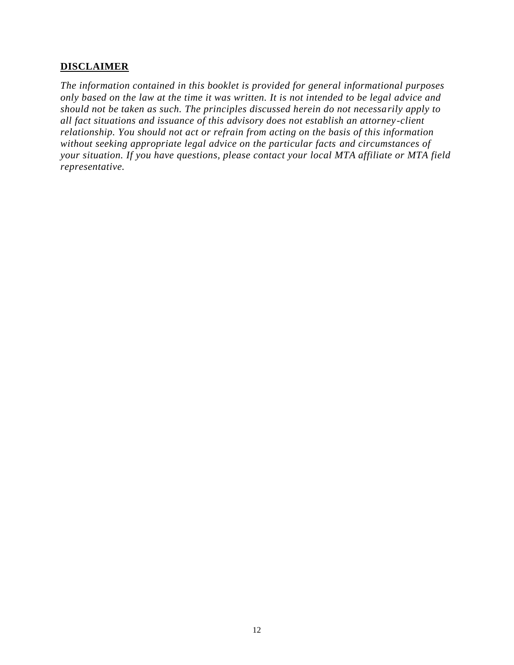## **DISCLAIMER**

*The information contained in this booklet is provided for general informational purposes only based on the law at the time it was written. It is not intended to be legal advice and should not be taken as such. The principles discussed herein do not necessarily apply to all fact situations and issuance of this advisory does not establish an attorney -client relationship. You should not act or refrain from acting on the basis of this information without seeking appropriate legal advice on the particular facts and circumstances of your situation. If you have questions, please contact your local MTA affiliate or MTA field representative.*